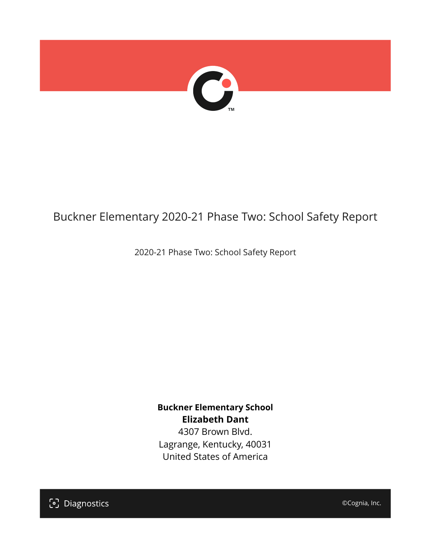

# Buckner Elementary 2020-21 Phase Two: School Safety Report

2020-21 Phase Two: School Safety Report

**Buckner Elementary School Elizabeth Dant** 4307 Brown Blvd. Lagrange, Kentucky, 40031 United States of America

[၁] Diagnostics

©Cognia, Inc.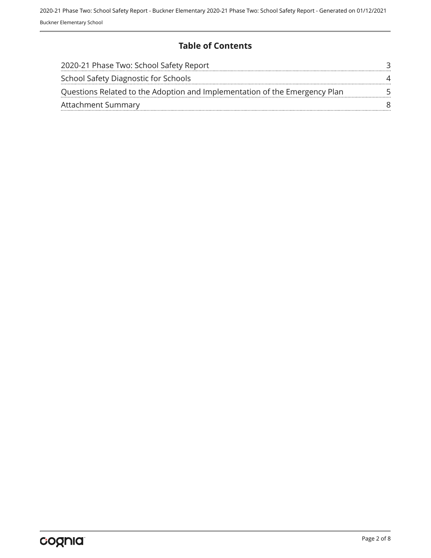## **Table of Contents**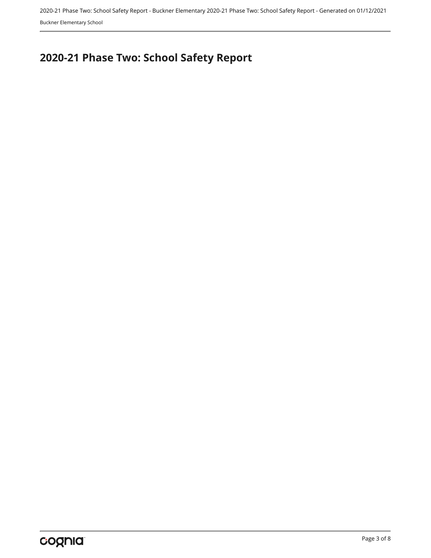2020-21 Phase Two: School Safety Report - Buckner Elementary 2020-21 Phase Two: School Safety Report - Generated on 01/12/2021 Buckner Elementary School

# <span id="page-2-0"></span>**2020-21 Phase Two: School Safety Report**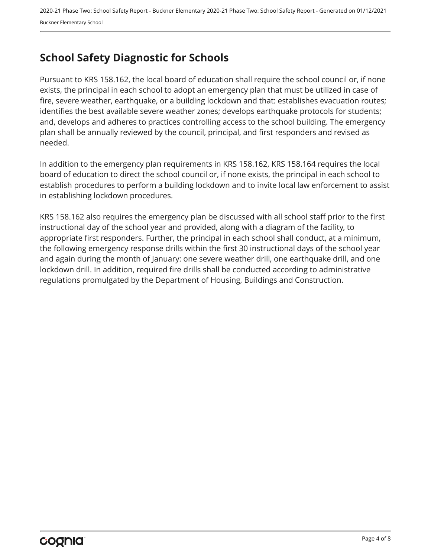# <span id="page-3-0"></span>**School Safety Diagnostic for Schools**

Pursuant to KRS 158.162, the local board of education shall require the school council or, if none exists, the principal in each school to adopt an emergency plan that must be utilized in case of fire, severe weather, earthquake, or a building lockdown and that: establishes evacuation routes; identifies the best available severe weather zones; develops earthquake protocols for students; and, develops and adheres to practices controlling access to the school building. The emergency plan shall be annually reviewed by the council, principal, and first responders and revised as needed.

In addition to the emergency plan requirements in KRS 158.162, KRS 158.164 requires the local board of education to direct the school council or, if none exists, the principal in each school to establish procedures to perform a building lockdown and to invite local law enforcement to assist in establishing lockdown procedures.

KRS 158.162 also requires the emergency plan be discussed with all school staff prior to the first instructional day of the school year and provided, along with a diagram of the facility, to appropriate first responders. Further, the principal in each school shall conduct, at a minimum, the following emergency response drills within the first 30 instructional days of the school year and again during the month of January: one severe weather drill, one earthquake drill, and one lockdown drill. In addition, required fire drills shall be conducted according to administrative regulations promulgated by the Department of Housing, Buildings and Construction.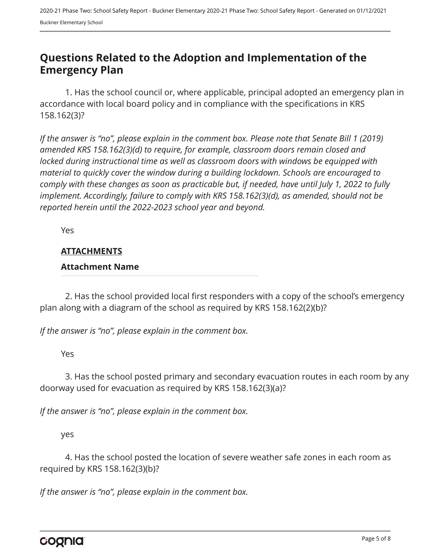## <span id="page-4-0"></span>**Questions Related to the Adoption and Implementation of the Emergency Plan**

1. Has the school council or, where applicable, principal adopted an emergency plan in accordance with local board policy and in compliance with the specifications in KRS 158.162(3)?

*If the answer is "no", please explain in the comment box. Please note that Senate Bill 1 (2019) amended KRS 158.162(3)(d) to require, for example, classroom doors remain closed and locked during instructional time as well as classroom doors with windows be equipped with material to quickly cover the window during a building lockdown. Schools are encouraged to comply with these changes as soon as practicable but, if needed, have until July 1, 2022 to fully implement. Accordingly, failure to comply with KRS 158.162(3)(d), as amended, should not be reported herein until the 2022-2023 school year and beyond.*

Yes

#### **ATTACHMENTS**

#### **Attachment Name**

2. Has the school provided local first responders with a copy of the school's emergency plan along with a diagram of the school as required by KRS 158.162(2)(b)?

*If the answer is "no", please explain in the comment box.*

Yes

3. Has the school posted primary and secondary evacuation routes in each room by any doorway used for evacuation as required by KRS 158.162(3)(a)?

*If the answer is "no", please explain in the comment box.*

yes

4. Has the school posted the location of severe weather safe zones in each room as required by KRS 158.162(3)(b)?

*If the answer is "no", please explain in the comment box.*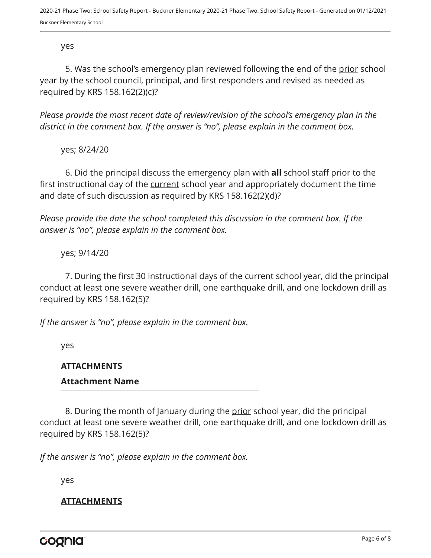yes

5. Was the school's emergency plan reviewed following the end of the prior school year by the school council, principal, and first responders and revised as needed as required by KRS 158.162(2)(c)?

*Please provide the most recent date of review/revision of the school's emergency plan in the district in the comment box. If the answer is "no", please explain in the comment box.* 

yes; 8/24/20

6. Did the principal discuss the emergency plan with **all** school staff prior to the first instructional day of the current school year and appropriately document the time and date of such discussion as required by KRS 158.162(2)(d)?

*Please provide the date the school completed this discussion in the comment box. If the answer is "no", please explain in the comment box.*

yes; 9/14/20

7. During the first 30 instructional days of the current school year, did the principal conduct at least one severe weather drill, one earthquake drill, and one lockdown drill as required by KRS 158.162(5)?

*If the answer is "no", please explain in the comment box.*

yes

## **ATTACHMENTS**

#### **Attachment Name**

8. During the month of January during the prior school year, did the principal conduct at least one severe weather drill, one earthquake drill, and one lockdown drill as required by KRS 158.162(5)?

*If the answer is "no", please explain in the comment box.*

yes

## **ATTACHMENTS**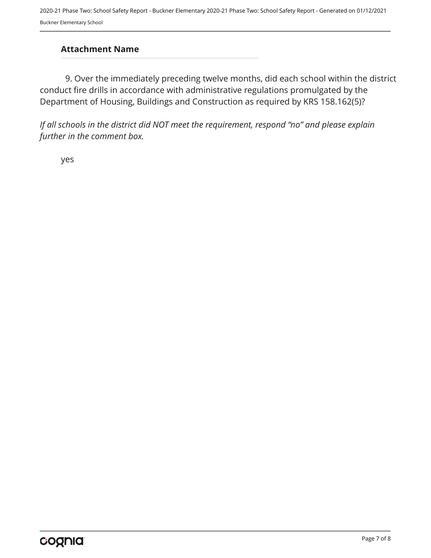## **Attachment Name**

9. Over the immediately preceding twelve months, did each school within the district conduct fire drills in accordance with administrative regulations promulgated by the Department of Housing, Buildings and Construction as required by KRS 158.162(5)?

*If all schools in the district did NOT meet the requirement, respond "no" and please explain further in the comment box.* 

yes